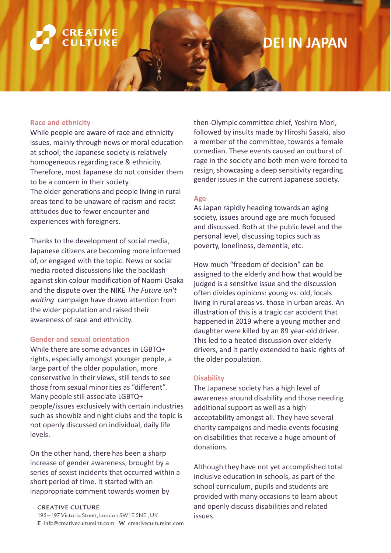### **CREATIVE** ULTURF

## **DEI IN JAPAN**

### **Race and ethnicity**

While people are aware of race and ethnicity issues, mainly through news or moral education at school; the Japanese society is relatively homogeneous regarding race & ethnicity. Therefore, most Japanese do not consider them to be a concern in their society. The older generations and people living in rural areas tend to be unaware of racism and racist attitudes due to fewer encounter and experiences with foreigners.

Thanks to the development of social media, Japanese citizens are becoming more informed of, or engaged with the topic. News or social media rooted discussions like the backlash against skin colour modification of Naomi Osaka and the dispute over the NIKE *The Future isn't waiting* campaign have drawn attention from the wider population and raised their awareness of race and ethnicity.

#### **Gender and sexual orientation**

While there are some advances in LGBTQ+ rights, especially amongst younger people, a large part of the older population, more conservative in their views, still tends to see those from sexual minorities as "different". Many people still associate LGBTQ+ people/issues exclusively with certain industries such as showbiz and night clubs and the topic is not openly discussed on individual, daily life levels.

On the other hand, there has been a sharp increase of gender awareness, brought by a series of sexist incidents that occurred within a short period of time. It started with an inappropriate comment towards women by

**CREATIVE CULTURE** 

195-197 Victoria Street, London SW1E 5NE, UK E info@creativecultureint.com W creativecultureint.com then-Olympic committee chief, Yoshiro Mori, followed by insults made by Hiroshi Sasaki, also a member of the committee, towards a female comedian. These events caused an outburst of rage in the society and both men were forced to resign, showcasing a deep sensitivity regarding gender issues in the current Japanese society.

#### **Age**

As Japan rapidly heading towards an aging society, issues around age are much focused and discussed. Both at the public level and the personal level, discussing topics such as poverty, loneliness, dementia, etc.

How much "freedom of decision" can be assigned to the elderly and how that would be judged is a sensitive issue and the discussion often divides opinions: young vs. old, locals living in rural areas vs. those in urban areas. An illustration of this is a tragic car accident that happened in 2019 where a young mother and daughter were killed by an 89 year-old driver. This led to a heated discussion over elderly drivers, and it partly extended to basic rights of the older population.

### **Disability**

The Japanese society has a high level of awareness around disability and those needing additional support as well as a high acceptability amongst all. They have several charity campaigns and media events focusing on disabilities that receive a huge amount of donations.

Although they have not yet accomplished total inclusive education in schools, as part of the school curriculum, pupils and students are provided with many occasions to learn about and openly discuss disabilities and related issues.